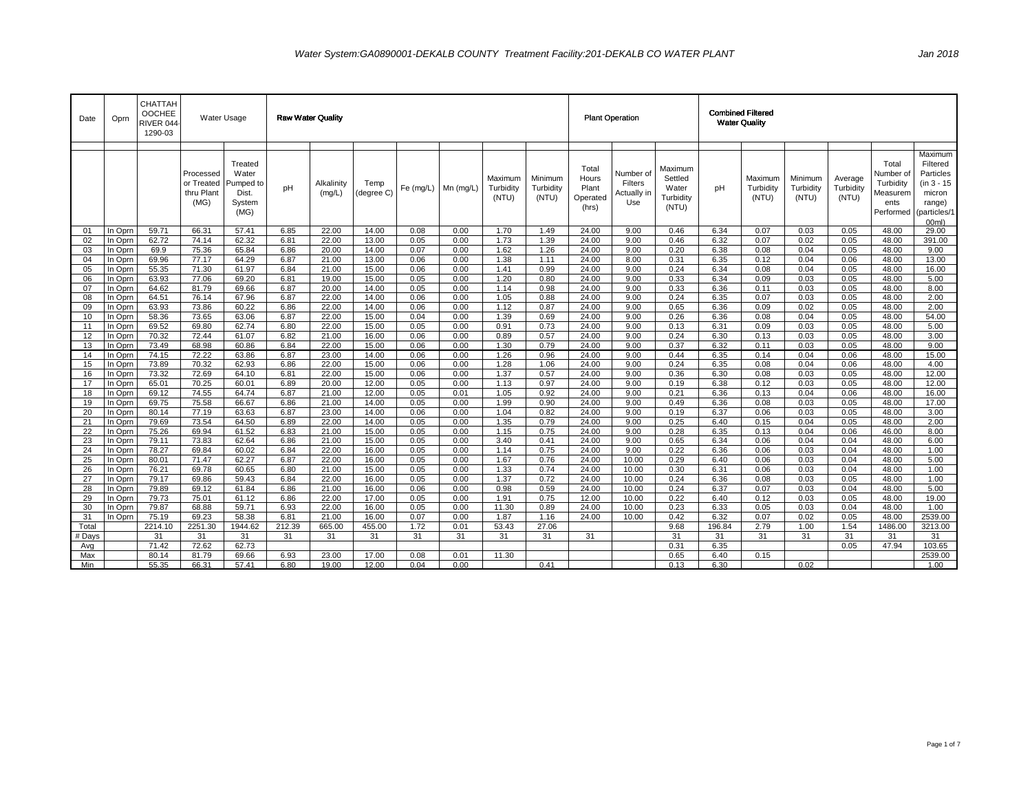| Date     | Oprn               | CHATTAH<br><b>OOCHEE</b><br>RIVER 044<br>1290-03 |                                               | Water Usage                                              |              | <b>Raw Water Quality</b> |                    |              |              |                               |                               |                                              | <b>Plant Operation</b>                     |                                                   |              | <b>Combined Filtered</b><br><b>Water Quality</b> |                               |                               |                                                                 |                                                                                             |
|----------|--------------------|--------------------------------------------------|-----------------------------------------------|----------------------------------------------------------|--------------|--------------------------|--------------------|--------------|--------------|-------------------------------|-------------------------------|----------------------------------------------|--------------------------------------------|---------------------------------------------------|--------------|--------------------------------------------------|-------------------------------|-------------------------------|-----------------------------------------------------------------|---------------------------------------------------------------------------------------------|
|          |                    |                                                  | Processed<br>or Treated<br>thru Plant<br>(MG) | Treated<br>Water<br>Pumped to<br>Dist.<br>System<br>(MG) | pH           | Alkalinity<br>(mg/L)     | Temp<br>(degree C) | Fe (mg/L)    | $Mn$ (mg/L)  | Maximum<br>Turbidity<br>(NTU) | Minimum<br>Turbidity<br>(NTU) | Total<br>Hours<br>Plant<br>Operated<br>(hrs) | Number of<br>Filters<br>Actually in<br>Use | Maximum<br>Settled<br>Water<br>Turbidity<br>(NTU) | pH           | Maximum<br>Turbidity<br>(NTU)                    | Minimum<br>Turbidity<br>(NTU) | Average<br>Turbidity<br>(NTU) | Total<br>Number o<br>Turbidity<br>Measurem<br>ents<br>Performed | Maximum<br>Filtered<br>Particles<br>(in 3 - 15<br>micron<br>range)<br>(particles/1<br>00ml) |
| 01       | In Oprn            | 59.71                                            | 66.31                                         | 57.41                                                    | 6.85         | 22.00                    | 14.00              | 0.08         | 0.00         | 1.70                          | 1.49                          | 24.00                                        | 9.00                                       | 0.46                                              | 6.34         | 0.07                                             | 0.03                          | 0.05                          | 48.00                                                           | 29.00                                                                                       |
| 02       | In Oprn            | 62.72                                            | 74.14                                         | 62.32                                                    | 6.81         | 22.00                    | 13.00              | 0.05         | 0.00         | 1.73                          | 1.39                          | 24.00                                        | 9.00                                       | 0.46                                              | 6.32         | 0.07                                             | 0.02                          | 0.05                          | 48.00                                                           | 391.00                                                                                      |
| 03       | In Oprn            | 69.9                                             | 75.36                                         | 65.84                                                    | 6.86         | 20.00                    | 14.00              | 0.07         | 0.00         | 1.62                          | 1.26                          | 24.00                                        | 9.00                                       | 0.20                                              | 6.38         | 0.08                                             | 0.04                          | 0.05                          | 48.00                                                           | 9.00                                                                                        |
| 04       | In Oprn            | 69.96                                            | 77.17                                         | 64.29                                                    | 6.87         | 21.00                    | 13.00              | 0.06         | 0.00         | 1.38                          | 1.11                          | 24.00                                        | 8.00                                       | 0.31                                              | 6.35         | 0.12                                             | 0.04                          | 0.06                          | 48.00                                                           | 13.00                                                                                       |
| 05       | In Oprn            | 55.35                                            | 71.30                                         | 61.97                                                    | 6.84         | 21.00                    | 15.00              | 0.06         | 0.00         | 1.41                          | 0.99                          | 24.00                                        | 9.00                                       | 0.24                                              | 6.34         | 0.08                                             | 0.04                          | 0.05                          | 48.00                                                           | 16.00                                                                                       |
| 06       | In Oprn            | 63.93                                            | 77.06                                         | 69.20                                                    | 6.81         | 19.00                    | 15.00              | 0.05         | 0.00         | 1.20                          | 0.80                          | 24.00                                        | 9.00                                       | 0.33                                              | 6.34         | 0.09                                             | 0.03                          | 0.05                          | 48.00                                                           | 5.00                                                                                        |
| 07       | In Oprn            | 64.62                                            | 81.79                                         | 69.66                                                    | 6.87         | 20.00                    | 14.00              | 0.05         | 0.00         | 1.14                          | 0.98                          | 24.00                                        | 9.00                                       | 0.33                                              | 6.36         | 0.11                                             | 0.03                          | 0.05                          | 48.00                                                           | 8.00                                                                                        |
| 08       | In Oprn            | 64.51                                            | 76.14                                         | 67.96                                                    | 6.87         | 22.00                    | 14.00              | 0.06         | 0.00         | 1.05                          | 0.88                          | 24.00                                        | 9.00                                       | 0.24                                              | 6.35         | 0.07                                             | 0.03                          | 0.05                          | 48.00                                                           | 2.00                                                                                        |
| 09       | In Oprn            | 63.93                                            | 73.86                                         | 60.22                                                    | 6.86         | 22.00                    | 14.00              | 0.06         | 0.00         | 1.12                          | 0.87                          | 24.00                                        | 9.00                                       | 0.65                                              | 6.36         | 0.09                                             | 0.02                          | 0.05                          | 48.00                                                           | 2.00                                                                                        |
| 10       | In Oprn            | 58.36                                            | 73.65                                         | 63.06                                                    | 6.87         | 22.00                    | 15.00              | 0.04         | 0.00         | 1.39                          | 0.69                          | 24.00                                        | 9.00                                       | 0.26                                              | 6.36         | 0.08                                             | 0.04                          | 0.05                          | 48.00                                                           | 54.00                                                                                       |
| 11       | In Oprn            | 69.52                                            | 69.80                                         | 62.74                                                    | 6.80         | 22.00                    | 15.00              | 0.05         | 0.00         | 0.91                          | 0.73                          | 24.00                                        | 9.00                                       | 0.13                                              | 6.31         | 0.09                                             | 0.03                          | 0.05                          | 48.00                                                           | 5.00                                                                                        |
| 12       | In Oprn            | 70.32                                            | 72.44                                         | 61.07                                                    | 6.82         | 21.00                    | 16.00              | 0.06         | 0.00         | 0.89                          | 0.57                          | 24.00                                        | 9.00                                       | 0.24                                              | 6.30         | 0.13                                             | 0.03                          | 0.05                          | 48.00                                                           | 3.00                                                                                        |
| 13       | In Oprn            | 73.49                                            | 68.98                                         | 60.86                                                    | 6.84         | 22.00                    | 15.00              | 0.06         | 0.00         | 1.30                          | 0.79                          | 24.00                                        | 9.00                                       | 0.37                                              | 6.32         | 0.11                                             | 0.03                          | 0.05                          | 48.00                                                           | 9.00                                                                                        |
| 14       | In Oprn            | 74.15                                            | 72.22                                         | 63.86                                                    | 6.87         | 23.00                    | 14.00              | 0.06         | 0.00         | 1.26                          | 0.96                          | 24.00                                        | 9.00                                       | 0.44                                              | 6.35         | 0.14                                             | 0.04                          | 0.06                          | 48.00                                                           | 15.00                                                                                       |
| 15       | In Oprn            | 73.89                                            | 70.32                                         | 62.93                                                    | 6.86         | 22.00                    | 15.00              | 0.06         | 0.00         | 1.28                          | 1.06                          | 24.00                                        | 9.00                                       | 0.24                                              | 6.35         | 0.08                                             | 0.04                          | 0.06                          | 48.00                                                           | 4.00                                                                                        |
| 16       | In Oprn            | 73.32                                            | 72.69                                         | 64.10                                                    | 6.81         | 22.00                    | 15.00              | 0.06         | 0.00         | 1.37                          | 0.57                          | 24.00                                        | 9.00                                       | 0.36                                              | 6.30         | 0.08                                             | 0.03                          | 0.05                          | 48.00                                                           | 12.00                                                                                       |
| 17       | In Oprn            | 65.01                                            | 70.25                                         | 60.01                                                    | 6.89         | 20.00                    | 12.00              | 0.05         | 0.00         | 1.13                          | 0.97                          | 24.00                                        | 9.00                                       | 0.19                                              | 6.38         | 0.12                                             | 0.03                          | 0.05                          | 48.00                                                           | 12.00                                                                                       |
| 18       | In Oprn            | 69.12                                            | 74.55                                         | 64.74                                                    | 6.87         | 21.00                    | 12.00              | 0.05         | 0.01         | 1.05                          | 0.92                          | 24.00                                        | 9.00                                       | 0.21                                              | 6.36         | 0.13                                             | 0.04                          | 0.06                          | 48.00                                                           | 16.00                                                                                       |
| 19       | In Oprn            | 69.75                                            | 75.58                                         | 66.67                                                    | 6.86         | 21.00                    | 14.00              | 0.05         | 0.00         | 1.99                          | 0.90                          | 24.00                                        | 9.00                                       | 0.49                                              | 6.36         | 0.08                                             | 0.03                          | 0.05                          | 48.00                                                           | 17.00                                                                                       |
| 20       | In Oprn            | 80.14                                            | 77.19                                         | 63.63                                                    | 6.87         | 23.00                    | 14.00              | 0.06         | 0.00         | 1.04<br>1.35                  | 0.82                          | 24.00                                        | 9.00                                       | 0.19                                              | 6.37         | 0.06                                             | 0.03                          | 0.05                          | 48.00                                                           | 3.00                                                                                        |
| 21       | In Oprn            | 79.69                                            | 73.54                                         | 64.50                                                    | 6.89         | 22.00                    | 14.00              | 0.05         | 0.00         |                               | 0.79<br>0.75                  | 24.00                                        | 9.00                                       | 0.25                                              | 6.40         | 0.15                                             | 0.04                          | 0.05                          | 48.00                                                           | 2.00                                                                                        |
| 22<br>23 | In Oprn<br>In Oprn | 75.26<br>79.11                                   | 69.94<br>73.83                                | 61.52<br>62.64                                           | 6.83<br>6.86 | 21.00<br>21.00           | 15.00<br>15.00     | 0.05<br>0.05 | 0.00<br>0.00 | 1.15<br>3.40                  | 0.41                          | 24.00<br>24.00                               | 9.00<br>9.00                               | 0.28<br>0.65                                      | 6.35<br>6.34 | 0.13<br>0.06                                     | 0.04<br>0.04                  | 0.06<br>0.04                  | 46.00<br>48.00                                                  | 8.00<br>6.00                                                                                |
| 24       | In Oprn            | 78.27                                            | 69.84                                         | 60.02                                                    | 6.84         | 22.00                    | 16.00              | 0.05         | 0.00         | 1.14                          | 0.75                          | 24.00                                        | 9.00                                       | 0.22                                              | 6.36         | 0.06                                             | 0.03                          | 0.04                          | 48.00                                                           | 1.00                                                                                        |
| 25       | In Oprn            | 80.01                                            | 71.47                                         | 62.27                                                    | 6.87         | 22.00                    | 16.00              | 0.05         | 0.00         | 1.67                          | 0.76                          | 24.00                                        | 10.00                                      | 0.29                                              | 6.40         | 0.06                                             | 0.03                          | 0.04                          | 48.00                                                           | 5.00                                                                                        |
| 26       | In Oprn            | 76.21                                            | 69.78                                         | 60.65                                                    | 6.80         | 21.00                    | 15.00              | 0.05         | 0.00         | 1.33                          | 0.74                          | 24.00                                        | 10.00                                      | 0.30                                              | 6.31         | 0.06                                             | 0.03                          | 0.04                          | 48.00                                                           | 1.00                                                                                        |
| 27       | In Oprn            | 79.17                                            | 69.86                                         | 59.43                                                    | 6.84         | 22.00                    | 16.00              | 0.05         | 0.00         | 1.37                          | 0.72                          | 24.00                                        | 10.00                                      | 0.24                                              | 6.36         | 0.08                                             | 0.03                          | 0.05                          | 48.00                                                           | 1.00                                                                                        |
| 28       | In Oprn            | 79.89                                            | 69.12                                         | 61.84                                                    | 6.86         | 21.00                    | 16.00              | 0.06         | 0.00         | 0.98                          | 0.59                          | 24.00                                        | 10.00                                      | 0.24                                              | 6.37         | 0.07                                             | 0.03                          | 0.04                          | 48.00                                                           | 5.00                                                                                        |
| 29       | In Oprn            | 79.73                                            | 75.01                                         | 61.12                                                    | 6.86         | 22.00                    | 17.00              | 0.05         | 0.00         | 1.91                          | 0.75                          | 12.00                                        | 10.00                                      | 0.22                                              | 6.40         | 0.12                                             | 0.03                          | 0.05                          | 48.00                                                           | 19.00                                                                                       |
| 30       | In Oprn            | 79.87                                            | 68.88                                         | 59.71                                                    | 6.93         | 22.00                    | 16.00              | 0.05         | 0.00         | 11.30                         | 0.89                          | 24.00                                        | 10.00                                      | 0.23                                              | 6.33         | 0.05                                             | 0.03                          | 0.04                          | 48.00                                                           | 1.00                                                                                        |
| 31       | In Oprn            | 75.19                                            | 69.23                                         | 58.38                                                    | 6.81         | 21.00                    | 16.00              | 0.07         | 0.00         | 1.87                          | 1.16                          | 24.00                                        | 10.00                                      | 0.42                                              | 6.32         | 0.07                                             | 0.02                          | 0.05                          | 48.00                                                           | 2539.00                                                                                     |
| Total    |                    | 2214.10                                          | 2251.30                                       | 1944.62                                                  | 212.39       | 665.00                   | 455.00             | 1.72         | 0.01         | 53.43                         | 27.06                         |                                              |                                            | 9.68                                              | 196.84       | 2.79                                             | 1.00                          | 1.54                          | 1486.00                                                         | 3213.00                                                                                     |
| # Days   |                    | 31                                               | 31                                            | 31                                                       | 31           | 31                       | 31                 | 31           | 31           | 31                            | 31                            | 31                                           |                                            | 31                                                | 31           | 31                                               | 31                            | 31                            | 31                                                              | 31                                                                                          |
| Avg      |                    | 71.42                                            | 72.62                                         | 62.73                                                    |              |                          |                    |              |              |                               |                               |                                              |                                            | 0.31                                              | 6.35         |                                                  |                               | 0.05                          | 47.94                                                           | 103.65                                                                                      |
| Max      |                    | 80.14                                            | 81.79                                         | 69.66                                                    | 6.93         | 23.00                    | 17.00              | 0.08         | 0.01         | 11.30                         |                               |                                              |                                            | 0.65                                              | 6.40         | 0.15                                             |                               |                               |                                                                 | 2539.00                                                                                     |
| Min      |                    | 55.35                                            | 66.31                                         | 57.41                                                    | 6.80         | 19.00                    | 12.00              | 0.04         | 0.00         |                               | 0.41                          |                                              |                                            | 0.13                                              | 6.30         |                                                  | 0.02                          |                               |                                                                 | 1.00                                                                                        |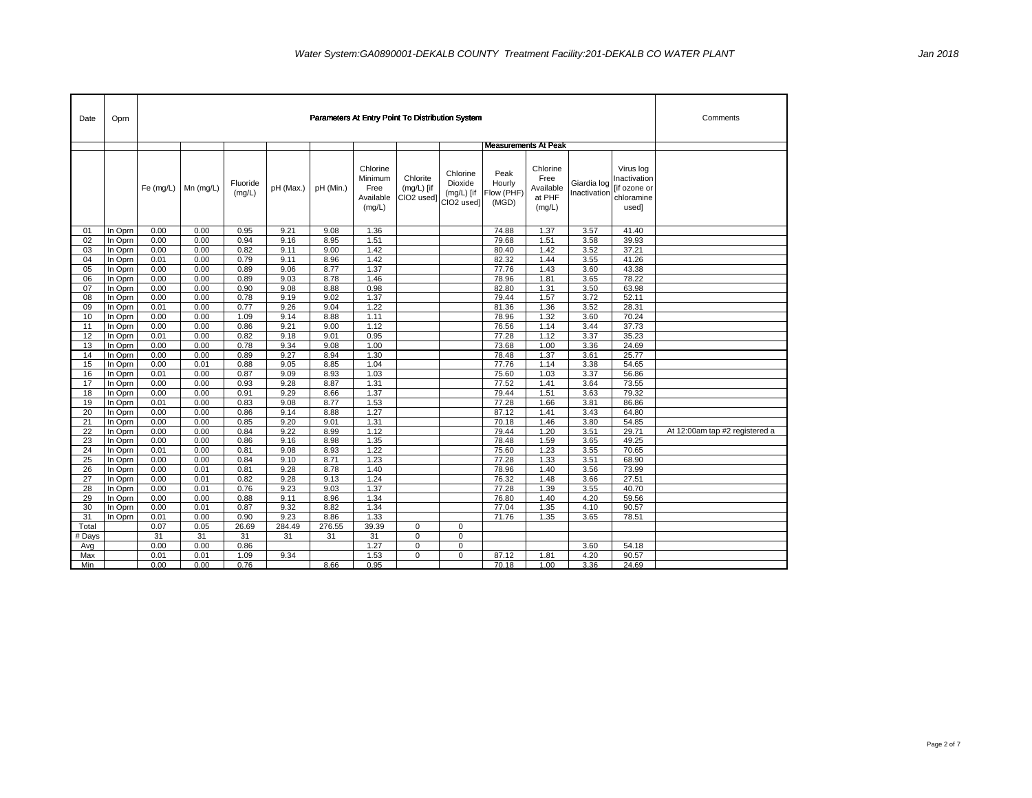| Date     | Oprn               |              |                           |                    |              |              |                                                    | Parameters At Entry Point To Distribution System |                                                               |                                       |                                                   |                             |                                                                  | Comments                       |
|----------|--------------------|--------------|---------------------------|--------------------|--------------|--------------|----------------------------------------------------|--------------------------------------------------|---------------------------------------------------------------|---------------------------------------|---------------------------------------------------|-----------------------------|------------------------------------------------------------------|--------------------------------|
|          |                    |              |                           |                    |              |              |                                                    |                                                  |                                                               |                                       | <b>Measurements At Peak</b>                       |                             |                                                                  |                                |
|          |                    |              | Fe $(mg/L)$   Mn $(mg/L)$ | Fluoride<br>(mg/L) | pH (Max.)    | pH (Min.)    | Chlorine<br>Minimum<br>Free<br>Available<br>(mg/L) | Chlorite<br>$(mg/L)$ [if<br>CIO2 used]           | Chlorine<br>Dioxide<br>$(mg/L)$ [if<br>CIO <sub>2</sub> used] | Peak<br>Hourly<br>Flow (PHF)<br>(MGD) | Chlorine<br>Free<br>Available<br>at PHF<br>(mg/L) | Giardia log<br>Inactivation | Virus log<br>Inactivation<br>[if ozone or<br>chloramine<br>used] |                                |
| 01       | In Oprn            | 0.00         | 0.00                      | 0.95               | 9.21         | 9.08         | 1.36                                               |                                                  |                                                               | 74.88                                 | 1.37                                              | 3.57                        | 41.40                                                            |                                |
| 02       | In Oprn            | 0.00         | 0.00                      | 0.94               | 9.16         | 8.95         | 1.51                                               |                                                  |                                                               | 79.68                                 | 1.51                                              | 3.58                        | 39.93                                                            |                                |
| 03       | In Oprn            | 0.00         | 0.00                      | 0.82               | 9.11         | 9.00         | 1.42                                               |                                                  |                                                               | 80.40                                 | 1.42                                              | 3.52                        | 37.21                                                            |                                |
| 04       | In Oprn            | 0.01         | 0.00                      | 0.79               | 9.11         | 8.96         | 1.42                                               |                                                  |                                                               | 82.32                                 | 1.44                                              | 3.55                        | 41.26                                                            |                                |
| 05       | In Oprn            | 0.00         | 0.00                      | 0.89               | 9.06         | 8.77         | 1.37                                               |                                                  |                                                               | 77.76                                 | 1.43                                              | 3.60                        | 43.38                                                            |                                |
| 06       | In Oprn            | 0.00         | 0.00                      | 0.89               | 9.03         | 8.78         | 1.46                                               |                                                  |                                                               | 78.96                                 | 1.81                                              | 3.65                        | 78.22                                                            |                                |
| 07       | In Oprn            | 0.00         | 0.00                      | 0.90               | 9.08         | 8.88         | 0.98                                               |                                                  |                                                               | 82.80                                 | 1.31                                              | 3.50                        | 63.98                                                            |                                |
| 08       | In Oprn            | 0.00         | 0.00                      | 0.78               | 9.19         | 9.02         | 1.37                                               |                                                  |                                                               | 79.44                                 | 1.57                                              | 3.72                        | 52.11                                                            |                                |
| 09       | In Oprn            | 0.01         | 0.00                      | 0.77               | 9.26         | 9.04         | 1.22                                               |                                                  |                                                               | 81.36                                 | 1.36                                              | 3.52                        | 28.31                                                            |                                |
| 10       | In Oprn            | 0.00         | 0.00                      | 1.09               | 9.14         | 8.88         | 1.11                                               |                                                  |                                                               | 78.96                                 | 1.32                                              | 3.60                        | 70.24                                                            |                                |
| 11       | In Oprn            | 0.00         | 0.00                      | 0.86               | 9.21         | 9.00         | 1.12                                               |                                                  |                                                               | 76.56                                 | 1.14                                              | 3.44                        | 37.73                                                            |                                |
| 12       | In Oprn            | 0.01         | 0.00                      | 0.82               | 9.18         | 9.01         | 0.95                                               |                                                  |                                                               | 77.28                                 | 1.12                                              | 3.37                        | 35.23                                                            |                                |
| 13       | In Oprn            | 0.00         | 0.00                      | 0.78               | 9.34         | 9.08         | 1.00                                               |                                                  |                                                               | 73.68                                 | 1.00                                              | 3.36                        | 24.69                                                            |                                |
| 14       | In Oprn            | 0.00         | 0.00                      | 0.89               | 9.27         | 8.94         | 1.30                                               |                                                  |                                                               | 78.48                                 | 1.37                                              | 3.61                        | 25.77                                                            |                                |
| 15       | In Oprn            | 0.00         | 0.01                      | 0.88               | 9.05         | 8.85         | 1.04                                               |                                                  |                                                               | 77.76                                 | 1.14                                              | 3.38                        | 54.65                                                            |                                |
| 16       | In Oprn            | 0.01         | 0.00                      | 0.87               | 9.09         | 8.93         | 1.03                                               |                                                  |                                                               | 75.60                                 | 1.03                                              | 3.37                        | 56.86                                                            |                                |
| 17       | In Oprn            | 0.00         | 0.00                      | 0.93               | 9.28         | 8.87         | 1.31                                               |                                                  |                                                               | 77.52                                 | 1.41                                              | 3.64                        | 73.55                                                            |                                |
| 18       | In Oprn            | 0.00         | 0.00                      | 0.91               | 9.29         | 8.66         | 1.37                                               |                                                  |                                                               | 79.44                                 | 1.51                                              | 3.63                        | 79.32                                                            |                                |
| 19       | In Oprn            | 0.01         | 0.00                      | 0.83               | 9.08         | 8.77         | 1.53                                               |                                                  |                                                               | 77.28                                 | 1.66                                              | 3.81                        | 86.86                                                            |                                |
| 20       | In Oprn            | 0.00         | 0.00                      | 0.86               | 9.14         | 8.88         | 1.27                                               |                                                  |                                                               | 87.12                                 | 1.41                                              | 3.43                        | 64.80                                                            |                                |
| 21       | In Oprn            | 0.00         | 0.00                      | 0.85               | 9.20         | 9.01         | 1.31                                               |                                                  |                                                               | 70.18                                 | 1.46                                              | 3.80                        | 54.85                                                            | At 12:00am tap #2 registered a |
| 22       | In Oprn            | 0.00         | 0.00<br>0.00              | 0.84               | 9.22         | 8.99<br>8.98 | 1.12                                               |                                                  |                                                               | 79.44<br>78.48                        | 1.20                                              | 3.51                        | 29.71                                                            |                                |
| 23       | In Oprn            | 0.00         |                           | 0.86               | 9.16         |              | 1.35<br>1.22                                       |                                                  |                                                               |                                       | 1.59<br>1.23                                      | 3.65                        | 49.25<br>70.65                                                   |                                |
| 24<br>25 | In Oprn<br>In Oprn | 0.01<br>0.00 | 0.00<br>0.00              | 0.81<br>0.84       | 9.08<br>9.10 | 8.93<br>8.71 | 1.23                                               |                                                  |                                                               | 75.60<br>77.28                        | 1.33                                              | 3.55<br>3.51                | 68.90                                                            |                                |
| 26       | In Oprn            | 0.00         | 0.01                      | 0.81               | 9.28         | 8.78         | 1.40                                               |                                                  |                                                               | 78.96                                 | 1.40                                              | 3.56                        | 73.99                                                            |                                |
| 27       | In Oprn            | 0.00         | 0.01                      | 0.82               | 9.28         | 9.13         | 1.24                                               |                                                  |                                                               | 76.32                                 | 1.48                                              | 3.66                        | 27.51                                                            |                                |
| 28       | In Oprn            | 0.00         | 0.01                      | 0.76               | 9.23         | 9.03         | 1.37                                               |                                                  |                                                               | 77.28                                 | 1.39                                              | 3.55                        | 40.70                                                            |                                |
| 29       | In Oprn            | 0.00         | 0.00                      | 0.88               | 9.11         | 8.96         | 1.34                                               |                                                  |                                                               | 76.80                                 | 1.40                                              | 4.20                        | 59.56                                                            |                                |
| 30       | In Oprn            | 0.00         | 0.01                      | 0.87               | 9.32         | 8.82         | 1.34                                               |                                                  |                                                               | 77.04                                 | 1.35                                              | 4.10                        | 90.57                                                            |                                |
| 31       | In Oprn            | 0.01         | 0.00                      | 0.90               | 9.23         | 8.86         | 1.33                                               |                                                  |                                                               | 71.76                                 | 1.35                                              | 3.65                        | 78.51                                                            |                                |
| Total    |                    | 0.07         | 0.05                      | 26.69              | 284.49       | 276.55       | 39.39                                              | $\mathbf 0$                                      | $\mathbf 0$                                                   |                                       |                                                   |                             |                                                                  |                                |
| # Days   |                    | 31           | 31                        | 31                 | 31           | 31           | 31                                                 | 0                                                | $\mathbf 0$                                                   |                                       |                                                   |                             |                                                                  |                                |
| Avg      |                    | 0.00         | 0.00                      | 0.86               |              |              | 1.27                                               | 0                                                | $\mathbf 0$                                                   |                                       |                                                   | 3.60                        | 54.18                                                            |                                |
| Max      |                    | 0.01         | 0.01                      | 1.09               | 9.34         |              | 1.53                                               | $\mathbf 0$                                      | $\mathbf 0$                                                   | 87.12                                 | 1.81                                              | 4.20                        | 90.57                                                            |                                |
| Min      |                    | 0.00         | 0.00                      | 0.76               |              | 8.66         | 0.95                                               |                                                  |                                                               | 70.18                                 | 1.00                                              | 3.36                        | 24.69                                                            |                                |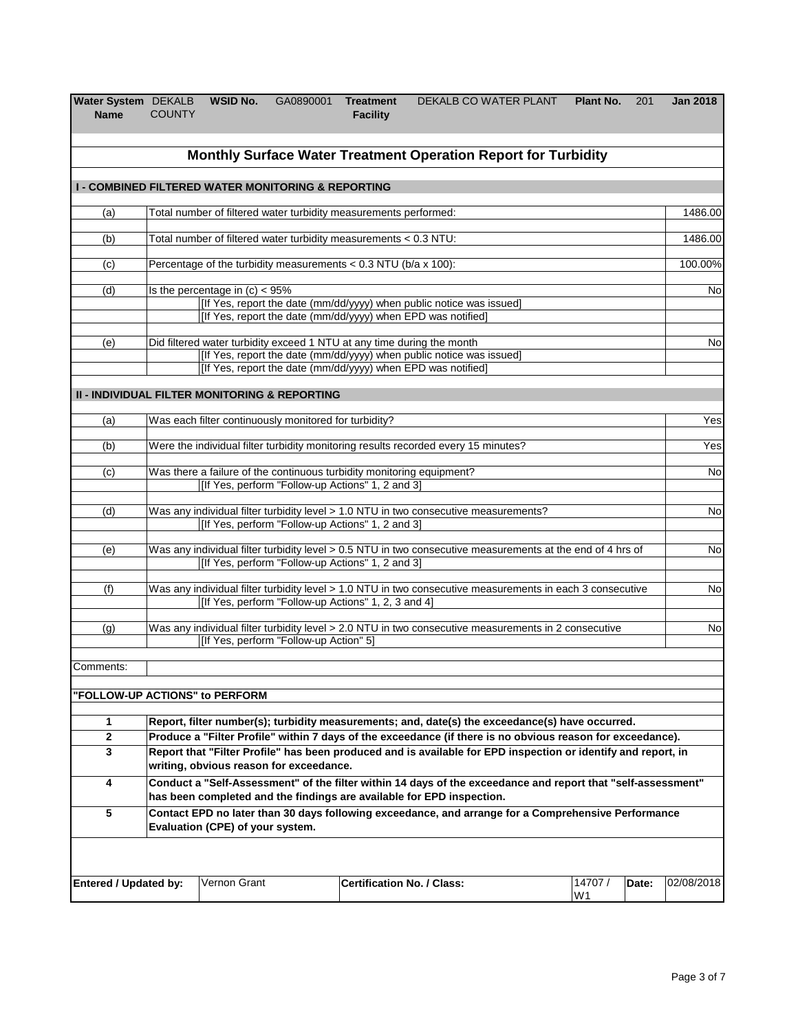| Water System DEKALB<br><b>Name</b>                            | <b>COUNTY</b>                                                                                                                            | <b>WSID No.</b>                   | GA0890001 Treatment                                               | <b>Facility</b>                   | DEKALB CO WATER PLANT                                                                                                                                                                                                       |  | Plant No.     | 201   | <b>Jan 2018</b> |  |
|---------------------------------------------------------------|------------------------------------------------------------------------------------------------------------------------------------------|-----------------------------------|-------------------------------------------------------------------|-----------------------------------|-----------------------------------------------------------------------------------------------------------------------------------------------------------------------------------------------------------------------------|--|---------------|-------|-----------------|--|
|                                                               |                                                                                                                                          |                                   |                                                                   |                                   | Monthly Surface Water Treatment Operation Report for Turbidity                                                                                                                                                              |  |               |       |                 |  |
| <b>I - COMBINED FILTERED WATER MONITORING &amp; REPORTING</b> |                                                                                                                                          |                                   |                                                                   |                                   |                                                                                                                                                                                                                             |  |               |       |                 |  |
| (a)                                                           |                                                                                                                                          |                                   | Total number of filtered water turbidity measurements performed:  |                                   |                                                                                                                                                                                                                             |  |               |       | 1486.00         |  |
| (b)                                                           |                                                                                                                                          |                                   | Total number of filtered water turbidity measurements < 0.3 NTU:  |                                   |                                                                                                                                                                                                                             |  |               |       | 1486.00         |  |
| (c)                                                           |                                                                                                                                          |                                   | Percentage of the turbidity measurements $< 0.3$ NTU (b/a x 100): |                                   |                                                                                                                                                                                                                             |  |               |       | 100.00%         |  |
| (d)                                                           |                                                                                                                                          | Is the percentage in $(c) < 95\%$ |                                                                   |                                   | [If Yes, report the date (mm/dd/yyyy) when public notice was issued]<br>[If Yes, report the date (mm/dd/yyyy) when EPD was notified]                                                                                        |  |               |       | No              |  |
| (e)                                                           |                                                                                                                                          |                                   |                                                                   |                                   | Did filtered water turbidity exceed 1 NTU at any time during the month<br>[If Yes, report the date (mm/dd/yyyy) when public notice was issued]<br>[If Yes, report the date (mm/dd/yyyy) when EPD was notified]              |  |               |       | No              |  |
| <b>II - INDIVIDUAL FILTER MONITORING &amp; REPORTING</b>      |                                                                                                                                          |                                   |                                                                   |                                   |                                                                                                                                                                                                                             |  |               |       |                 |  |
| (a)                                                           |                                                                                                                                          |                                   | Was each filter continuously monitored for turbidity?             |                                   |                                                                                                                                                                                                                             |  |               |       | Yes             |  |
| (b)                                                           | Were the individual filter turbidity monitoring results recorded every 15 minutes?                                                       |                                   |                                                                   |                                   |                                                                                                                                                                                                                             |  |               |       |                 |  |
| (c)                                                           | Was there a failure of the continuous turbidity monitoring equipment?<br>[If Yes, perform "Follow-up Actions" 1, 2 and 3]                |                                   |                                                                   |                                   |                                                                                                                                                                                                                             |  |               |       |                 |  |
| (d)                                                           | Was any individual filter turbidity level > 1.0 NTU in two consecutive measurements?<br>[If Yes, perform "Follow-up Actions" 1, 2 and 3] |                                   |                                                                   |                                   |                                                                                                                                                                                                                             |  |               |       |                 |  |
| (e)                                                           |                                                                                                                                          |                                   | [If Yes, perform "Follow-up Actions" 1, 2 and 3]                  |                                   | Was any individual filter turbidity level > 0.5 NTU in two consecutive measurements at the end of 4 hrs of                                                                                                                  |  |               |       | No              |  |
| (f)                                                           |                                                                                                                                          |                                   | [If Yes, perform "Follow-up Actions" 1, 2, 3 and 4]               |                                   | Was any individual filter turbidity level > 1.0 NTU in two consecutive measurements in each 3 consecutive                                                                                                                   |  |               |       | No              |  |
| (g)                                                           |                                                                                                                                          |                                   | [If Yes, perform "Follow-up Action" 5]                            |                                   | Was any individual filter turbidity level > 2.0 NTU in two consecutive measurements in 2 consecutive                                                                                                                        |  |               |       | No              |  |
| Comments:                                                     |                                                                                                                                          |                                   |                                                                   |                                   |                                                                                                                                                                                                                             |  |               |       |                 |  |
| "FOLLOW-UP ACTIONS" to PERFORM                                |                                                                                                                                          |                                   |                                                                   |                                   |                                                                                                                                                                                                                             |  |               |       |                 |  |
| 1                                                             |                                                                                                                                          |                                   |                                                                   |                                   | Report, filter number(s); turbidity measurements; and, date(s) the exceedance(s) have occurred.                                                                                                                             |  |               |       |                 |  |
| $\bf 2$<br>$\mathbf 3$                                        |                                                                                                                                          |                                   |                                                                   |                                   | Produce a "Filter Profile" within 7 days of the exceedance (if there is no obvious reason for exceedance).<br>Report that "Filter Profile" has been produced and is available for EPD inspection or identify and report, in |  |               |       |                 |  |
|                                                               |                                                                                                                                          |                                   | writing, obvious reason for exceedance.                           |                                   |                                                                                                                                                                                                                             |  |               |       |                 |  |
| 4                                                             |                                                                                                                                          |                                   |                                                                   |                                   | Conduct a "Self-Assessment" of the filter within 14 days of the exceedance and report that "self-assessment"<br>has been completed and the findings are available for EPD inspection.                                       |  |               |       |                 |  |
| 5                                                             |                                                                                                                                          | Evaluation (CPE) of your system.  |                                                                   |                                   | Contact EPD no later than 30 days following exceedance, and arrange for a Comprehensive Performance                                                                                                                         |  |               |       |                 |  |
| <b>Entered / Updated by:</b>                                  |                                                                                                                                          | Vernon Grant                      |                                                                   | <b>Certification No. / Class:</b> |                                                                                                                                                                                                                             |  | 14707 /<br>W1 | Date: | 02/08/2018      |  |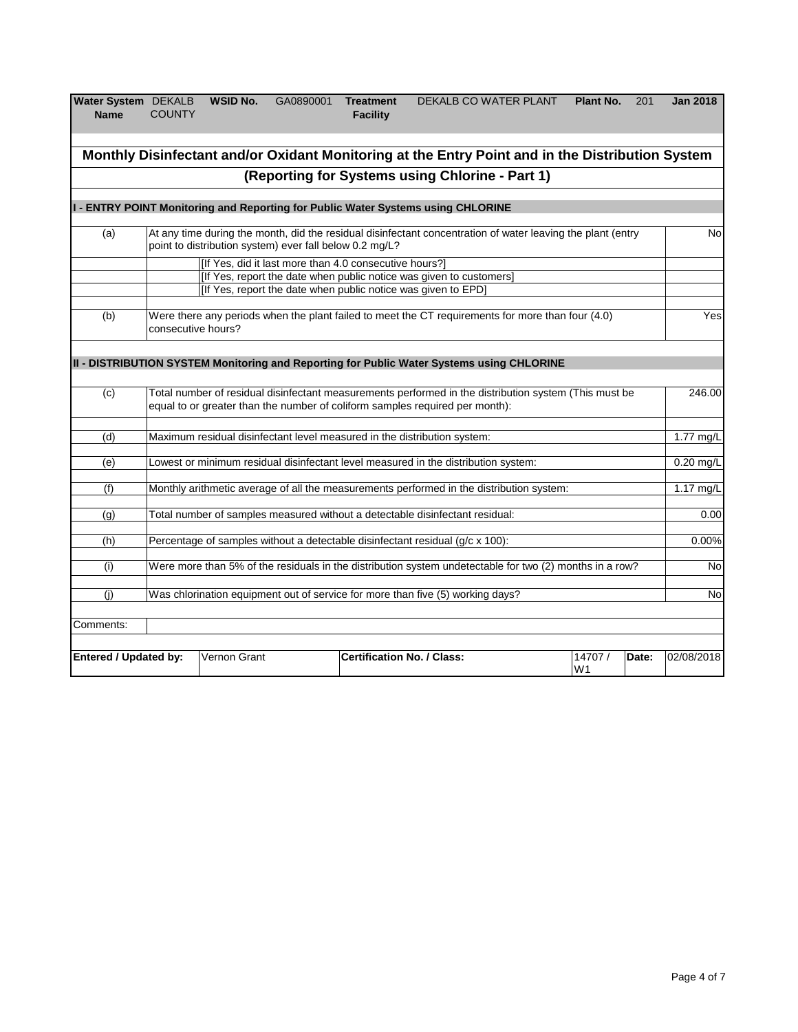| Water System DEKALB<br><b>Name</b> | <b>COUNTY</b> | WSID No. | GA0890001 | <b>Treatment</b><br><b>Facility</b> | DEKALB CO WATER PLANT | Plant No. | 201 | <b>Jan 2018</b> |
|------------------------------------|---------------|----------|-----------|-------------------------------------|-----------------------|-----------|-----|-----------------|
|                                    |               |          |           |                                     |                       |           |     |                 |

|                              |                                                                                                                                                                                       |                                                         | Monthly Disinfectant and/or Oxidant Monitoring at the Entry Point and in the Distribution System                                                                                               |  |                          |       |             |  |
|------------------------------|---------------------------------------------------------------------------------------------------------------------------------------------------------------------------------------|---------------------------------------------------------|------------------------------------------------------------------------------------------------------------------------------------------------------------------------------------------------|--|--------------------------|-------|-------------|--|
|                              |                                                                                                                                                                                       |                                                         | (Reporting for Systems using Chlorine - Part 1)                                                                                                                                                |  |                          |       |             |  |
|                              |                                                                                                                                                                                       |                                                         | I - ENTRY POINT Monitoring and Reporting for Public Water Systems using CHLORINE                                                                                                               |  |                          |       |             |  |
| (a)                          |                                                                                                                                                                                       | point to distribution system) ever fall below 0.2 mg/L? | At any time during the month, did the residual disinfectant concentration of water leaving the plant (entry                                                                                    |  |                          |       | <b>No</b>   |  |
|                              |                                                                                                                                                                                       |                                                         | [If Yes, did it last more than 4.0 consecutive hours?]<br>[If Yes, report the date when public notice was given to customers]<br>[If Yes, report the date when public notice was given to EPD] |  |                          |       |             |  |
| (b)                          | consecutive hours?                                                                                                                                                                    |                                                         | Were there any periods when the plant failed to meet the CT requirements for more than four (4.0)                                                                                              |  |                          |       | Yes         |  |
|                              |                                                                                                                                                                                       |                                                         | II - DISTRIBUTION SYSTEM Monitoring and Reporting for Public Water Systems using CHLORINE                                                                                                      |  |                          |       |             |  |
| (c)                          | Total number of residual disinfectant measurements performed in the distribution system (This must be<br>equal to or greater than the number of coliform samples required per month): |                                                         |                                                                                                                                                                                                |  |                          |       |             |  |
| (d)                          |                                                                                                                                                                                       |                                                         | Maximum residual disinfectant level measured in the distribution system:                                                                                                                       |  |                          |       | 1.77 $mg/L$ |  |
| (e)                          |                                                                                                                                                                                       |                                                         | Lowest or minimum residual disinfectant level measured in the distribution system:                                                                                                             |  |                          |       | $0.20$ mg/L |  |
| (f)                          |                                                                                                                                                                                       |                                                         | Monthly arithmetic average of all the measurements performed in the distribution system:                                                                                                       |  |                          |       | 1.17 $mg/L$ |  |
| (q)                          |                                                                                                                                                                                       |                                                         | Total number of samples measured without a detectable disinfectant residual:                                                                                                                   |  |                          |       | 0.00        |  |
| (h)                          |                                                                                                                                                                                       |                                                         | Percentage of samples without a detectable disinfectant residual (g/c x 100):                                                                                                                  |  |                          |       | 0.00%       |  |
| (i)                          |                                                                                                                                                                                       |                                                         | Were more than 5% of the residuals in the distribution system undetectable for two (2) months in a row?                                                                                        |  |                          |       | <b>No</b>   |  |
| (i)                          |                                                                                                                                                                                       |                                                         | Was chlorination equipment out of service for more than five (5) working days?                                                                                                                 |  |                          |       | No          |  |
| Comments:                    |                                                                                                                                                                                       |                                                         |                                                                                                                                                                                                |  |                          |       |             |  |
| <b>Entered / Updated by:</b> |                                                                                                                                                                                       | Vernon Grant                                            | <b>Certification No. / Class:</b>                                                                                                                                                              |  | 14707/<br>W <sub>1</sub> | Date: | 02/08/2018  |  |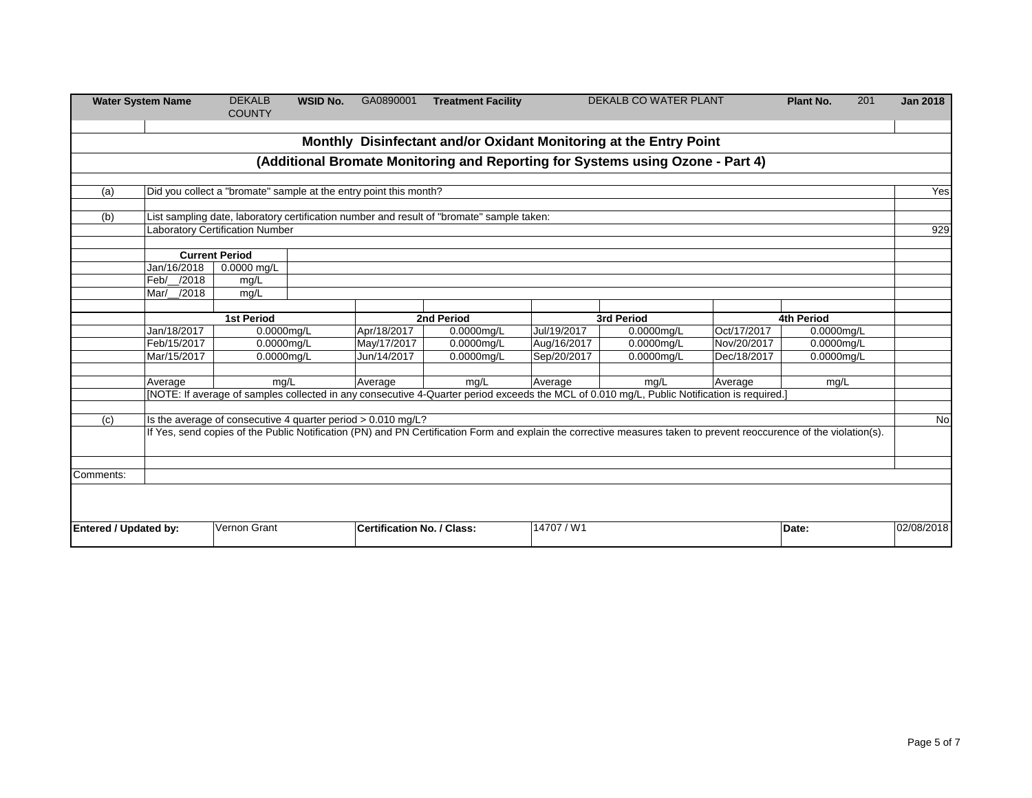| <b>Water System Name</b>              | <b>DEKALB</b><br><b>COUNTY</b>                                        | <b>WSID No.</b>                                                             | GA0890001                                                                                   | <b>Treatment Facility</b>             |                                                                                                                                                                                                                  | <b>DEKALB CO WATER PLANT</b>                                                                                            |                                           | Plant No.                                                                                                                                                                         | 201                                                                                                                                                       | <b>Jan 2018</b>                                                                                                                                                                                               |
|---------------------------------------|-----------------------------------------------------------------------|-----------------------------------------------------------------------------|---------------------------------------------------------------------------------------------|---------------------------------------|------------------------------------------------------------------------------------------------------------------------------------------------------------------------------------------------------------------|-------------------------------------------------------------------------------------------------------------------------|-------------------------------------------|-----------------------------------------------------------------------------------------------------------------------------------------------------------------------------------|-----------------------------------------------------------------------------------------------------------------------------------------------------------|---------------------------------------------------------------------------------------------------------------------------------------------------------------------------------------------------------------|
|                                       |                                                                       |                                                                             |                                                                                             |                                       |                                                                                                                                                                                                                  |                                                                                                                         |                                           |                                                                                                                                                                                   |                                                                                                                                                           |                                                                                                                                                                                                               |
|                                       |                                                                       |                                                                             |                                                                                             |                                       |                                                                                                                                                                                                                  |                                                                                                                         |                                           |                                                                                                                                                                                   |                                                                                                                                                           |                                                                                                                                                                                                               |
|                                       |                                                                       |                                                                             |                                                                                             |                                       |                                                                                                                                                                                                                  |                                                                                                                         |                                           |                                                                                                                                                                                   |                                                                                                                                                           |                                                                                                                                                                                                               |
|                                       |                                                                       |                                                                             |                                                                                             |                                       |                                                                                                                                                                                                                  |                                                                                                                         |                                           |                                                                                                                                                                                   |                                                                                                                                                           | Yes                                                                                                                                                                                                           |
|                                       |                                                                       |                                                                             |                                                                                             |                                       |                                                                                                                                                                                                                  |                                                                                                                         |                                           |                                                                                                                                                                                   |                                                                                                                                                           |                                                                                                                                                                                                               |
|                                       |                                                                       |                                                                             |                                                                                             |                                       |                                                                                                                                                                                                                  |                                                                                                                         |                                           |                                                                                                                                                                                   |                                                                                                                                                           |                                                                                                                                                                                                               |
|                                       |                                                                       |                                                                             |                                                                                             |                                       |                                                                                                                                                                                                                  |                                                                                                                         |                                           |                                                                                                                                                                                   |                                                                                                                                                           | 929                                                                                                                                                                                                           |
|                                       |                                                                       |                                                                             |                                                                                             |                                       |                                                                                                                                                                                                                  |                                                                                                                         |                                           |                                                                                                                                                                                   |                                                                                                                                                           |                                                                                                                                                                                                               |
|                                       |                                                                       |                                                                             |                                                                                             |                                       |                                                                                                                                                                                                                  |                                                                                                                         |                                           |                                                                                                                                                                                   |                                                                                                                                                           |                                                                                                                                                                                                               |
|                                       |                                                                       |                                                                             |                                                                                             |                                       |                                                                                                                                                                                                                  |                                                                                                                         |                                           |                                                                                                                                                                                   |                                                                                                                                                           |                                                                                                                                                                                                               |
|                                       |                                                                       |                                                                             |                                                                                             |                                       |                                                                                                                                                                                                                  |                                                                                                                         |                                           |                                                                                                                                                                                   |                                                                                                                                                           |                                                                                                                                                                                                               |
|                                       |                                                                       |                                                                             |                                                                                             |                                       |                                                                                                                                                                                                                  |                                                                                                                         |                                           |                                                                                                                                                                                   |                                                                                                                                                           |                                                                                                                                                                                                               |
|                                       |                                                                       |                                                                             |                                                                                             |                                       |                                                                                                                                                                                                                  |                                                                                                                         |                                           |                                                                                                                                                                                   |                                                                                                                                                           |                                                                                                                                                                                                               |
|                                       |                                                                       |                                                                             |                                                                                             |                                       |                                                                                                                                                                                                                  |                                                                                                                         |                                           |                                                                                                                                                                                   |                                                                                                                                                           |                                                                                                                                                                                                               |
|                                       |                                                                       |                                                                             |                                                                                             |                                       |                                                                                                                                                                                                                  |                                                                                                                         |                                           |                                                                                                                                                                                   |                                                                                                                                                           |                                                                                                                                                                                                               |
| Mar/15/2017                           |                                                                       |                                                                             | Jun/14/2017                                                                                 | 0.0000mg/L                            | Sep/20/2017                                                                                                                                                                                                      | 0.0000mg/L                                                                                                              | Dec/18/2017                               |                                                                                                                                                                                   |                                                                                                                                                           |                                                                                                                                                                                                               |
|                                       |                                                                       |                                                                             |                                                                                             |                                       |                                                                                                                                                                                                                  |                                                                                                                         |                                           |                                                                                                                                                                                   |                                                                                                                                                           |                                                                                                                                                                                                               |
| Average                               |                                                                       |                                                                             |                                                                                             | mg/L                                  | Average                                                                                                                                                                                                          | mg/L                                                                                                                    | Average                                   | mg/L                                                                                                                                                                              |                                                                                                                                                           |                                                                                                                                                                                                               |
|                                       |                                                                       |                                                                             |                                                                                             |                                       |                                                                                                                                                                                                                  |                                                                                                                         |                                           |                                                                                                                                                                                   |                                                                                                                                                           |                                                                                                                                                                                                               |
|                                       |                                                                       |                                                                             |                                                                                             |                                       |                                                                                                                                                                                                                  |                                                                                                                         |                                           |                                                                                                                                                                                   |                                                                                                                                                           |                                                                                                                                                                                                               |
|                                       |                                                                       |                                                                             |                                                                                             |                                       |                                                                                                                                                                                                                  |                                                                                                                         |                                           |                                                                                                                                                                                   |                                                                                                                                                           | No                                                                                                                                                                                                            |
|                                       |                                                                       |                                                                             |                                                                                             |                                       |                                                                                                                                                                                                                  |                                                                                                                         |                                           |                                                                                                                                                                                   |                                                                                                                                                           |                                                                                                                                                                                                               |
|                                       |                                                                       |                                                                             |                                                                                             |                                       |                                                                                                                                                                                                                  |                                                                                                                         |                                           |                                                                                                                                                                                   |                                                                                                                                                           |                                                                                                                                                                                                               |
|                                       |                                                                       |                                                                             |                                                                                             |                                       |                                                                                                                                                                                                                  |                                                                                                                         |                                           |                                                                                                                                                                                   |                                                                                                                                                           |                                                                                                                                                                                                               |
|                                       |                                                                       |                                                                             |                                                                                             |                                       |                                                                                                                                                                                                                  |                                                                                                                         |                                           |                                                                                                                                                                                   |                                                                                                                                                           |                                                                                                                                                                                                               |
|                                       |                                                                       |                                                                             |                                                                                             |                                       |                                                                                                                                                                                                                  |                                                                                                                         |                                           |                                                                                                                                                                                   |                                                                                                                                                           |                                                                                                                                                                                                               |
|                                       |                                                                       |                                                                             |                                                                                             |                                       |                                                                                                                                                                                                                  |                                                                                                                         |                                           |                                                                                                                                                                                   |                                                                                                                                                           |                                                                                                                                                                                                               |
| Vernon Grant<br>Entered / Updated by: |                                                                       |                                                                             |                                                                                             |                                       | 14707 / W1                                                                                                                                                                                                       |                                                                                                                         | Date:                                     |                                                                                                                                                                                   | 02/08/2018                                                                                                                                                |                                                                                                                                                                                                               |
|                                       | Jan/16/2018<br>Feb/ /2018<br>Mar/ /2018<br>Jan/18/2017<br>Feb/15/2017 | <b>Current Period</b><br>$0.0000$ mg/L<br>mg/L<br>mg/L<br><b>1st Period</b> | <b>Laboratory Certification Number</b><br>$0.0000$ mg/L<br>0.0000mg/L<br>0.0000mg/L<br>mq/L | Apr/18/2017<br>May/17/2017<br>Average | Did you collect a "bromate" sample at the entry point this month?<br>2nd Period<br>0.0000mg/L<br>0.0000mg/L<br>Is the average of consecutive 4 quarter period > 0.010 mg/L?<br><b>Certification No. / Class:</b> | List sampling date, laboratory certification number and result of "bromate" sample taken:<br>Jul/19/2017<br>Aug/16/2017 | 3rd Period<br>$0.0000$ mg/L<br>0.0000mg/L | Monthly Disinfectant and/or Oxidant Monitoring at the Entry Point<br>(Additional Bromate Monitoring and Reporting for Systems using Ozone - Part 4)<br>Oct/17/2017<br>Nov/20/2017 | 4th Period<br>[NOTE: If average of samples collected in any consecutive 4-Quarter period exceeds the MCL of 0.010 mg/L, Public Notification is required.] | 0.0000mg/L<br>0.0000mg/L<br>0.0000mg/L<br>If Yes, send copies of the Public Notification (PN) and PN Certification Form and explain the corrective measures taken to prevent reoccurence of the violation(s). |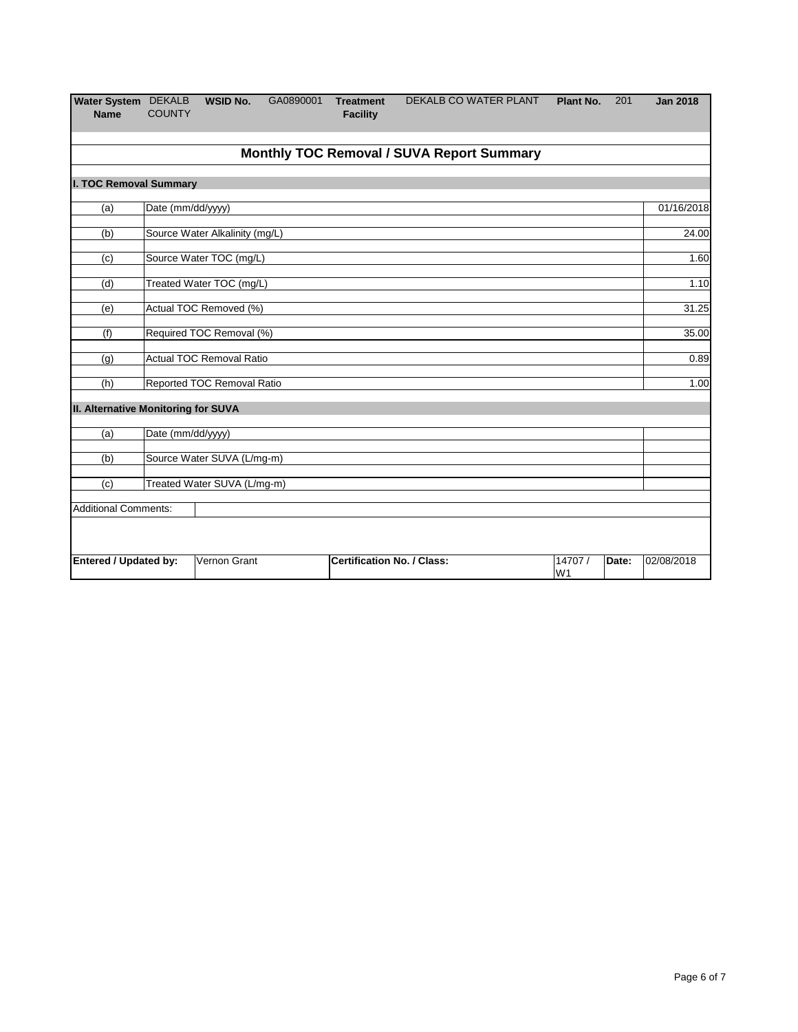| Water System DEKALB<br><b>Name</b>                                                                                      | <b>COUNTY</b>     | <b>WSID No.</b>                | GA0890001 | <b>Treatment</b><br><b>Facility</b> | DEKALB CO WATER PLANT                     | Plant No. | 201 | <b>Jan 2018</b> |
|-------------------------------------------------------------------------------------------------------------------------|-------------------|--------------------------------|-----------|-------------------------------------|-------------------------------------------|-----------|-----|-----------------|
|                                                                                                                         |                   |                                |           |                                     | Monthly TOC Removal / SUVA Report Summary |           |     |                 |
| I. TOC Removal Summary                                                                                                  |                   |                                |           |                                     |                                           |           |     |                 |
| (a)                                                                                                                     | Date (mm/dd/yyyy) |                                |           |                                     |                                           |           |     | 01/16/2018      |
| (b)                                                                                                                     |                   | Source Water Alkalinity (mg/L) |           |                                     |                                           |           |     | 24.00           |
| (c)                                                                                                                     |                   | Source Water TOC (mg/L)        |           |                                     |                                           |           |     | 1.60            |
| (d)                                                                                                                     |                   | Treated Water TOC (mg/L)       |           |                                     |                                           |           |     | 1.10            |
| (e)                                                                                                                     |                   | Actual TOC Removed (%)         |           |                                     |                                           |           |     | 31.25           |
| (f)                                                                                                                     |                   | Required TOC Removal (%)       |           |                                     |                                           |           |     | 35.00           |
| (q)                                                                                                                     |                   | Actual TOC Removal Ratio       |           |                                     |                                           |           |     | 0.89            |
| (h)                                                                                                                     |                   | Reported TOC Removal Ratio     |           |                                     |                                           |           |     | 1.00            |
| II. Alternative Monitoring for SUVA                                                                                     |                   |                                |           |                                     |                                           |           |     |                 |
| (a)                                                                                                                     | Date (mm/dd/yyyy) |                                |           |                                     |                                           |           |     |                 |
| (b)                                                                                                                     |                   | Source Water SUVA (L/mg-m)     |           |                                     |                                           |           |     |                 |
| (c)                                                                                                                     |                   | Treated Water SUVA (L/mg-m)    |           |                                     |                                           |           |     |                 |
| <b>Additional Comments:</b>                                                                                             |                   |                                |           |                                     |                                           |           |     |                 |
|                                                                                                                         |                   |                                |           |                                     |                                           |           |     |                 |
| Vernon Grant<br><b>Certification No. / Class:</b><br><b>Entered / Updated by:</b><br>14707 /<br>Date:<br>W <sub>1</sub> |                   |                                |           |                                     |                                           |           |     |                 |